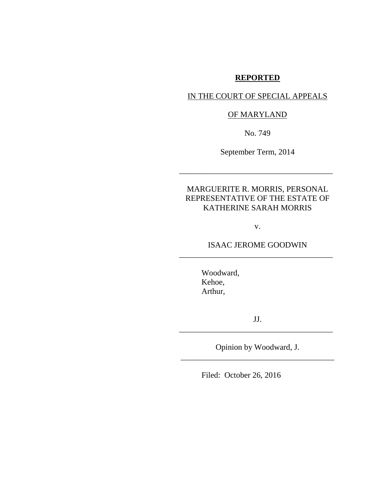# **REPORTED**

## IN THE COURT OF SPECIAL APPEALS

# OF MARYLAND

No. 749

September Term, 2014

\_\_\_\_\_\_\_\_\_\_\_\_\_\_\_\_\_\_\_\_\_\_\_\_\_\_\_\_\_\_\_\_\_\_\_\_\_\_

# MARGUERITE R. MORRIS, PERSONAL REPRESENTATIVE OF THE ESTATE OF KATHERINE SARAH MORRIS

v.

# ISAAC JEROME GOODWIN \_\_\_\_\_\_\_\_\_\_\_\_\_\_\_\_\_\_\_\_\_\_\_\_\_\_\_\_\_\_\_\_\_\_\_\_\_\_

Woodward, Kehoe, Arthur,

JJ. \_\_\_\_\_\_\_\_\_\_\_\_\_\_\_\_\_\_\_\_\_\_\_\_\_\_\_\_\_\_\_\_\_\_\_\_\_\_

Opinion by Woodward, J. \_\_\_\_\_\_\_\_\_\_\_\_\_\_\_\_\_\_\_\_\_\_\_\_\_\_\_\_\_\_\_\_\_\_\_\_\_\_

Filed: October 26, 2016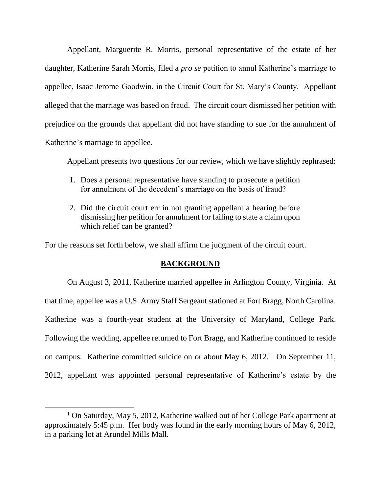Appellant, Marguerite R. Morris, personal representative of the estate of her daughter, Katherine Sarah Morris, filed a *pro se* petition to annul Katherine's marriage to appellee, Isaac Jerome Goodwin, in the Circuit Court for St. Mary's County. Appellant alleged that the marriage was based on fraud. The circuit court dismissed her petition with prejudice on the grounds that appellant did not have standing to sue for the annulment of Katherine's marriage to appellee.

Appellant presents two questions for our review, which we have slightly rephrased:

- 1. Does a personal representative have standing to prosecute a petition for annulment of the decedent's marriage on the basis of fraud?
- 2. Did the circuit court err in not granting appellant a hearing before dismissing her petition for annulment for failing to state a claim upon which relief can be granted?

For the reasons set forth below, we shall affirm the judgment of the circuit court.

# **BACKGROUND**

On August 3, 2011, Katherine married appellee in Arlington County, Virginia. At that time, appellee was a U.S. Army Staff Sergeant stationed at Fort Bragg, North Carolina. Katherine was a fourth-year student at the University of Maryland, College Park. Following the wedding, appellee returned to Fort Bragg, and Katherine continued to reside on campus. Katherine committed suicide on or about May 6, 2012.<sup>1</sup> On September 11, 2012, appellant was appointed personal representative of Katherine's estate by the

 $\overline{\phantom{a}}$ 

<sup>1</sup> On Saturday, May 5, 2012, Katherine walked out of her College Park apartment at approximately 5:45 p.m. Her body was found in the early morning hours of May 6, 2012, in a parking lot at Arundel Mills Mall.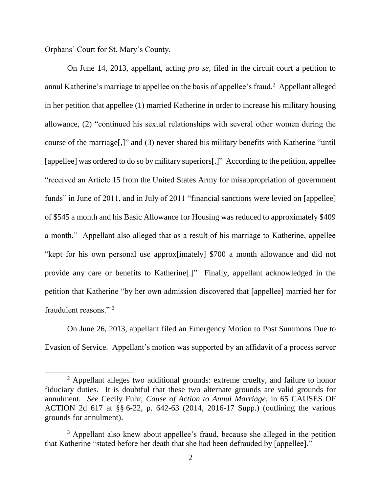Orphans' Court for St. Mary's County.

 $\overline{\phantom{a}}$ 

On June 14, 2013, appellant, acting *pro se*, filed in the circuit court a petition to annul Katherine's marriage to appellee on the basis of appellee's fraud. <sup>2</sup> Appellant alleged in her petition that appellee (1) married Katherine in order to increase his military housing allowance, (2) "continued his sexual relationships with several other women during the course of the marriage[,]" and (3) never shared his military benefits with Katherine "until [appellee] was ordered to do so by military superiors[.]" According to the petition, appellee "received an Article 15 from the United States Army for misappropriation of government funds" in June of 2011, and in July of 2011 "financial sanctions were levied on [appellee] of \$545 a month and his Basic Allowance for Housing was reduced to approximately \$409 a month." Appellant also alleged that as a result of his marriage to Katherine, appellee "kept for his own personal use approx[imately] \$700 a month allowance and did not provide any care or benefits to Katherine[.]" Finally, appellant acknowledged in the petition that Katherine "by her own admission discovered that [appellee] married her for fraudulent reasons." <sup>3</sup>

On June 26, 2013, appellant filed an Emergency Motion to Post Summons Due to Evasion of Service. Appellant's motion was supported by an affidavit of a process server

 $2$  Appellant alleges two additional grounds: extreme cruelty, and failure to honor fiduciary duties. It is doubtful that these two alternate grounds are valid grounds for annulment. *See* Cecily Fuhr, *Cause of Action to Annul Marriage*, in 65 CAUSES OF ACTION 2d 617 at §§ 6-22, p. 642-63 (2014, 2016-17 Supp.) (outlining the various grounds for annulment).

<sup>&</sup>lt;sup>3</sup> Appellant also knew about appellee's fraud, because she alleged in the petition that Katherine "stated before her death that she had been defrauded by [appellee]."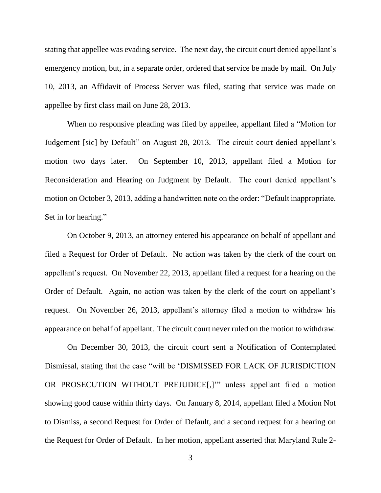stating that appellee was evading service. The next day, the circuit court denied appellant's emergency motion, but, in a separate order, ordered that service be made by mail. On July 10, 2013, an Affidavit of Process Server was filed, stating that service was made on appellee by first class mail on June 28, 2013.

When no responsive pleading was filed by appellee, appellant filed a "Motion for Judgement [sic] by Default" on August 28, 2013. The circuit court denied appellant's motion two days later. On September 10, 2013, appellant filed a Motion for Reconsideration and Hearing on Judgment by Default. The court denied appellant's motion on October 3, 2013, adding a handwritten note on the order: "Default inappropriate. Set in for hearing."

On October 9, 2013, an attorney entered his appearance on behalf of appellant and filed a Request for Order of Default. No action was taken by the clerk of the court on appellant's request. On November 22, 2013, appellant filed a request for a hearing on the Order of Default. Again, no action was taken by the clerk of the court on appellant's request. On November 26, 2013, appellant's attorney filed a motion to withdraw his appearance on behalf of appellant. The circuit court never ruled on the motion to withdraw.

On December 30, 2013, the circuit court sent a Notification of Contemplated Dismissal, stating that the case "will be 'DISMISSED FOR LACK OF JURISDICTION OR PROSECUTION WITHOUT PREJUDICE[,]'" unless appellant filed a motion showing good cause within thirty days. On January 8, 2014, appellant filed a Motion Not to Dismiss, a second Request for Order of Default, and a second request for a hearing on the Request for Order of Default. In her motion, appellant asserted that Maryland Rule 2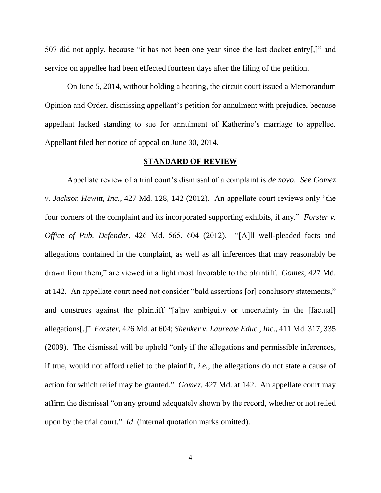507 did not apply, because "it has not been one year since the last docket entry[,]" and service on appellee had been effected fourteen days after the filing of the petition.

On June 5, 2014, without holding a hearing, the circuit court issued a Memorandum Opinion and Order, dismissing appellant's petition for annulment with prejudice, because appellant lacked standing to sue for annulment of Katherine's marriage to appellee. Appellant filed her notice of appeal on June 30, 2014.

### **STANDARD OF REVIEW**

Appellate review of a trial court's dismissal of a complaint is *de novo*. *See Gomez v. Jackson Hewitt, Inc.*, 427 Md. 128, 142 (2012). An appellate court reviews only "the four corners of the complaint and its incorporated supporting exhibits, if any." *Forster v. Office of Pub. Defender*, 426 Md. 565, 604 (2012). "[A]ll well-pleaded facts and allegations contained in the complaint, as well as all inferences that may reasonably be drawn from them," are viewed in a light most favorable to the plaintiff. *Gomez*, 427 Md. at 142. An appellate court need not consider "bald assertions [or] conclusory statements," and construes against the plaintiff "[a]ny ambiguity or uncertainty in the [factual] allegations[.]" *Forster*, 426 Md. at 604; *Shenker v. Laureate Educ., Inc.*, 411 Md. 317, 335 (2009). The dismissal will be upheld "only if the allegations and permissible inferences, if true, would not afford relief to the plaintiff, *i.e.*, the allegations do not state a cause of action for which relief may be granted." *Gomez*, 427 Md. at 142. An appellate court may affirm the dismissal "on any ground adequately shown by the record, whether or not relied upon by the trial court." *Id*. (internal quotation marks omitted).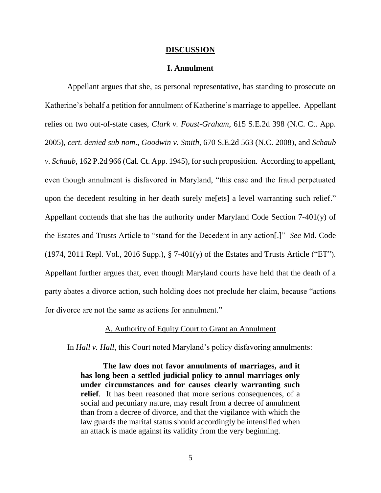#### **DISCUSSION**

### **I. Annulment**

Appellant argues that she, as personal representative, has standing to prosecute on Katherine's behalf a petition for annulment of Katherine's marriage to appellee. Appellant relies on two out-of-state cases, *Clark v. Foust-Graham*, 615 S.E.2d 398 (N.C. Ct. App. 2005), *cert. denied sub nom*., *Goodwin v. Smith*, 670 S.E.2d 563 (N.C. 2008), and *Schaub v. Schaub*, 162 P.2d 966 (Cal. Ct. App. 1945), for such proposition. According to appellant, even though annulment is disfavored in Maryland, "this case and the fraud perpetuated upon the decedent resulting in her death surely me[ets] a level warranting such relief." Appellant contends that she has the authority under Maryland Code Section 7-401(y) of the Estates and Trusts Article to "stand for the Decedent in any action[.]" *See* Md. Code  $(1974, 2011$  Repl. Vol., 2016 Supp.), § 7-401(y) of the Estates and Trusts Article ("ET"). Appellant further argues that, even though Maryland courts have held that the death of a party abates a divorce action, such holding does not preclude her claim, because "actions for divorce are not the same as actions for annulment."

## A. Authority of Equity Court to Grant an Annulment

In *Hall v. Hall*, this Court noted Maryland's policy disfavoring annulments:

**The law does not favor annulments of marriages, and it has long been a settled judicial policy to annul marriages only under circumstances and for causes clearly warranting such relief**. It has been reasoned that more serious consequences, of a social and pecuniary nature, may result from a decree of annulment than from a decree of divorce, and that the vigilance with which the law guards the marital status should accordingly be intensified when an attack is made against its validity from the very beginning.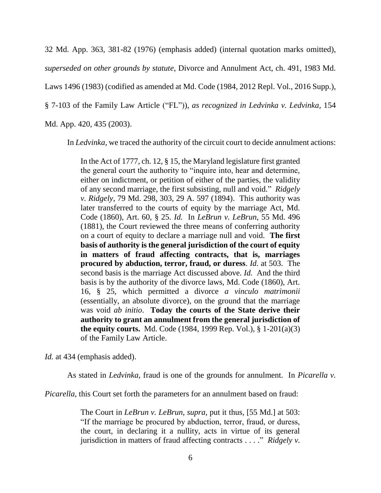32 Md. App. 363, 381-82 (1976) (emphasis added) (internal quotation marks omitted), *superseded on other grounds by statute*, Divorce and Annulment Act, ch. 491, 1983 Md. Laws 1496 (1983) (codified as amended at Md. Code (1984, 2012 Repl. Vol., 2016 Supp.), § 7-103 of the Family Law Article ("FL")), *as recognized in Ledvinka v. Ledvinka*, 154 Md. App. 420, 435 (2003).

In *Ledvinka*, we traced the authority of the circuit court to decide annulment actions:

In the Act of 1777, ch. 12, § 15, the Maryland legislature first granted the general court the authority to "inquire into, hear and determine, either on indictment, or petition of either of the parties, the validity of any second marriage, the first subsisting, null and void." *Ridgely v. Ridgely*, 79 Md. 298, 303, 29 A. 597 (1894). This authority was later transferred to the courts of equity by the marriage Act, Md. Code (1860), Art. 60, § 25. *Id.* In *LeBrun v. LeBrun*, 55 Md. 496 (1881), the Court reviewed the three means of conferring authority on a court of equity to declare a marriage null and void. **The first basis of authority is the general jurisdiction of the court of equity in matters of fraud affecting contracts, that is, marriages procured by abduction, terror, fraud, or duress**. *Id.* at 503. The second basis is the marriage Act discussed above. *Id.* And the third basis is by the authority of the divorce laws, Md. Code (1860), Art. 16, § 25, which permitted a divorce *a vinculo matrimonii*  (essentially, an absolute divorce), on the ground that the marriage was void *ab initio*. **Today the courts of the State derive their authority to grant an annulment from the general jurisdiction of the equity courts.** Md. Code (1984, 1999 Rep. Vol.), § 1-201(a)(3) of the Family Law Article.

*Id.* at 434 (emphasis added).

As stated in *Ledvinka*, fraud is one of the grounds for annulment. In *Picarella v.* 

*Picarella*, this Court set forth the parameters for an annulment based on fraud:

The Court in *LeBrun v. LeBrun*, *supra*, put it thus, [55 Md.] at 503: "If the marriage be procured by abduction, terror, fraud, or duress, the court, in declaring it a nullity, acts in virtue of its general jurisdiction in matters of fraud affecting contracts . . . ." *Ridgely v.*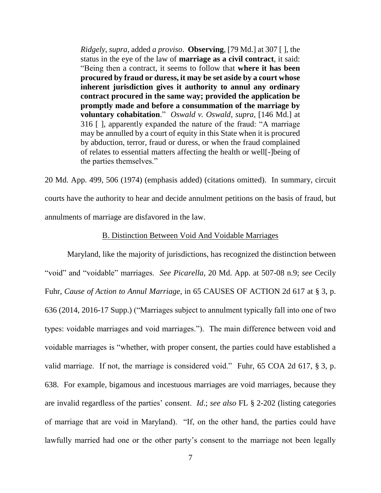*Ridgely*, *supra*, added *a proviso*. **Observing**, [79 Md.] at 307 [ ], the status in the eye of the law of **marriage as a civil contract**, it said: "Being then a contract, it seems to follow that **where it has been procured by fraud or duress, it may be set aside by a court whose inherent jurisdiction gives it authority to annul any ordinary contract procured in the same way; provided the application be promptly made and before a consummation of the marriage by voluntary cohabitation**." *Oswald v. Oswald*, *supra*, [146 Md.] at 316 [ ], apparently expanded the nature of the fraud: "A marriage may be annulled by a court of equity in this State when it is procured by abduction, terror, fraud or duress, or when the fraud complained of relates to essential matters affecting the health or well[-]being of the parties themselves."

20 Md. App. 499, 506 (1974) (emphasis added) (citations omitted). In summary, circuit courts have the authority to hear and decide annulment petitions on the basis of fraud, but annulments of marriage are disfavored in the law.

## B. Distinction Between Void And Voidable Marriages

Maryland, like the majority of jurisdictions, has recognized the distinction between "void" and "voidable" marriages. *See Picarella*, 20 Md. App. at 507-08 n.9; *see* Cecily Fuhr, *Cause of Action to Annul Marriage*, in 65 CAUSES OF ACTION 2d 617 at § 3, p. 636 (2014, 2016-17 Supp.) ("Marriages subject to annulment typically fall into one of two types: voidable marriages and void marriages."). The main difference between void and voidable marriages is "whether, with proper consent, the parties could have established a valid marriage. If not, the marriage is considered void." Fuhr, 65 COA 2d 617, § 3, p. 638. For example, bigamous and incestuous marriages are void marriages, because they are invalid regardless of the parties' consent. *Id*.; *see also* FL § 2-202 (listing categories of marriage that are void in Maryland). "If, on the other hand, the parties could have lawfully married had one or the other party's consent to the marriage not been legally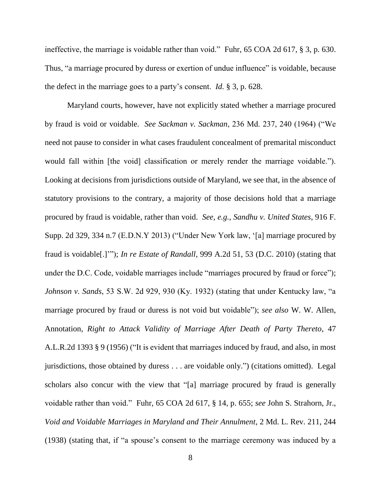ineffective, the marriage is voidable rather than void." Fuhr, 65 COA 2d 617, § 3, p. 630. Thus, "a marriage procured by duress or exertion of undue influence" is voidable, because the defect in the marriage goes to a party's consent. *Id.* § 3, p. 628.

Maryland courts, however, have not explicitly stated whether a marriage procured by fraud is void or voidable. *See Sackman v. Sackman*, 236 Md. 237, 240 (1964) ("We need not pause to consider in what cases fraudulent concealment of premarital misconduct would fall within [the void] classification or merely render the marriage voidable."). Looking at decisions from jurisdictions outside of Maryland, we see that, in the absence of statutory provisions to the contrary, a majority of those decisions hold that a marriage procured by fraud is voidable, rather than void. *See, e.g.*, *Sandhu v. United States*, 916 F. Supp. 2d 329, 334 n.7 (E.D.N.Y 2013) ("Under New York law, '[a] marriage procured by fraud is voidable[.]'"); *In re Estate of Randall*, 999 A.2d 51, 53 (D.C. 2010) (stating that under the D.C. Code, voidable marriages include "marriages procured by fraud or force"); *Johnson v. Sands*, 53 S.W. 2d 929, 930 (Ky. 1932) (stating that under Kentucky law, "a marriage procured by fraud or duress is not void but voidable"); *see also* W. W. Allen, Annotation, *Right to Attack Validity of Marriage After Death of Party Thereto*, 47 A.L.R.2d 1393 § 9 (1956) ("It is evident that marriages induced by fraud, and also, in most jurisdictions, those obtained by duress . . . are voidable only.") (citations omitted). Legal scholars also concur with the view that "[a] marriage procured by fraud is generally voidable rather than void." Fuhr, 65 COA 2d 617, § 14, p. 655; *see* John S. Strahorn, Jr., *Void and Voidable Marriages in Maryland and Their Annulment*, 2 Md. L. Rev. 211, 244 (1938) (stating that, if "a spouse's consent to the marriage ceremony was induced by a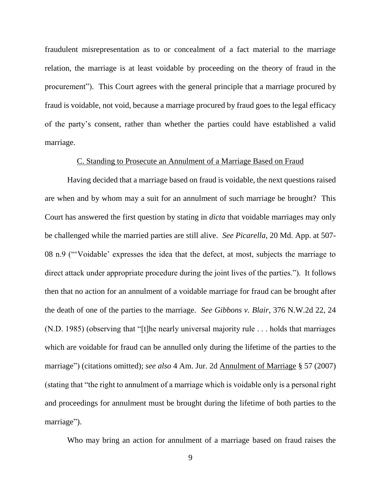fraudulent misrepresentation as to or concealment of a fact material to the marriage relation, the marriage is at least voidable by proceeding on the theory of fraud in the procurement"). This Court agrees with the general principle that a marriage procured by fraud is voidable, not void, because a marriage procured by fraud goes to the legal efficacy of the party's consent, rather than whether the parties could have established a valid marriage.

## C. Standing to Prosecute an Annulment of a Marriage Based on Fraud

Having decided that a marriage based on fraud is voidable, the next questions raised are when and by whom may a suit for an annulment of such marriage be brought? This Court has answered the first question by stating in *dicta* that voidable marriages may only be challenged while the married parties are still alive. *See Picarella*, 20 Md. App. at 507- 08 n.9 ("'Voidable' expresses the idea that the defect, at most, subjects the marriage to direct attack under appropriate procedure during the joint lives of the parties."). It follows then that no action for an annulment of a voidable marriage for fraud can be brought after the death of one of the parties to the marriage. *See Gibbons v. Blair*, 376 N.W.2d 22, 24 (N.D. 1985) (observing that "[t]he nearly universal majority rule . . . holds that marriages which are voidable for fraud can be annulled only during the lifetime of the parties to the marriage") (citations omitted); *see also* 4 Am. Jur. 2d Annulment of Marriage § 57 (2007) (stating that "the right to annulment of a marriage which is voidable only is a personal right and proceedings for annulment must be brought during the lifetime of both parties to the marriage").

Who may bring an action for annulment of a marriage based on fraud raises the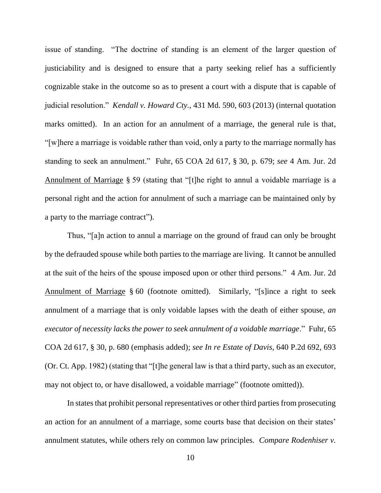issue of standing. "The doctrine of standing is an element of the larger question of justiciability and is designed to ensure that a party seeking relief has a sufficiently cognizable stake in the outcome so as to present a court with a dispute that is capable of judicial resolution." *Kendall v. Howard Cty.*, 431 Md. 590, 603 (2013) (internal quotation marks omitted). In an action for an annulment of a marriage, the general rule is that, "[w]here a marriage is voidable rather than void, only a party to the marriage normally has standing to seek an annulment." Fuhr, 65 COA 2d 617, § 30, p. 679; *see* 4 Am. Jur. 2d Annulment of Marriage § 59 (stating that "[t]he right to annul a voidable marriage is a personal right and the action for annulment of such a marriage can be maintained only by a party to the marriage contract").

Thus, "[a]n action to annul a marriage on the ground of fraud can only be brought by the defrauded spouse while both parties to the marriage are living. It cannot be annulled at the suit of the heirs of the spouse imposed upon or other third persons." 4 Am. Jur. 2d Annulment of Marriage § 60 (footnote omitted). Similarly, "[s]ince a right to seek annulment of a marriage that is only voidable lapses with the death of either spouse, *an executor of necessity lacks the power to seek annulment of a voidable marriage*." Fuhr, 65 COA 2d 617, § 30, p. 680 (emphasis added); *see In re Estate of Davis*, 640 P.2d 692, 693 (Or. Ct. App. 1982) (stating that "[t]he general law is that a third party, such as an executor, may not object to, or have disallowed, a voidable marriage" (footnote omitted)).

In states that prohibit personal representatives or other third parties from prosecuting an action for an annulment of a marriage, some courts base that decision on their states' annulment statutes, while others rely on common law principles. *Compare Rodenhiser v.*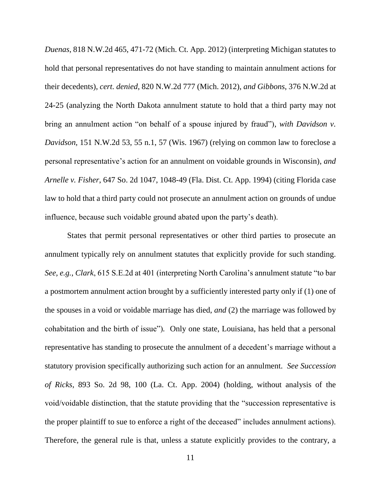*Duenas*, 818 N.W.2d 465, 471-72 (Mich. Ct. App. 2012) (interpreting Michigan statutes to hold that personal representatives do not have standing to maintain annulment actions for their decedents), *cert. denied*, 820 N.W.2d 777 (Mich. 2012), *and Gibbons*, 376 N.W.2d at 24-25 (analyzing the North Dakota annulment statute to hold that a third party may not bring an annulment action "on behalf of a spouse injured by fraud"), *with Davidson v. Davidson*, 151 N.W.2d 53, 55 n.1, 57 (Wis. 1967) (relying on common law to foreclose a personal representative's action for an annulment on voidable grounds in Wisconsin), *and Arnelle v. Fisher*, 647 So. 2d 1047, 1048-49 (Fla. Dist. Ct. App. 1994) (citing Florida case law to hold that a third party could not prosecute an annulment action on grounds of undue influence, because such voidable ground abated upon the party's death).

States that permit personal representatives or other third parties to prosecute an annulment typically rely on annulment statutes that explicitly provide for such standing. *See, e.g.*, *Clark*, 615 S.E.2d at 401 (interpreting North Carolina's annulment statute "to bar a postmortem annulment action brought by a sufficiently interested party only if (1) one of the spouses in a void or voidable marriage has died, *and* (2) the marriage was followed by cohabitation and the birth of issue")*.* Only one state, Louisiana, has held that a personal representative has standing to prosecute the annulment of a decedent's marriage without a statutory provision specifically authorizing such action for an annulment. *See Succession of Ricks*, 893 So. 2d 98, 100 (La. Ct. App. 2004) (holding, without analysis of the void/voidable distinction, that the statute providing that the "succession representative is the proper plaintiff to sue to enforce a right of the deceased" includes annulment actions). Therefore, the general rule is that, unless a statute explicitly provides to the contrary, a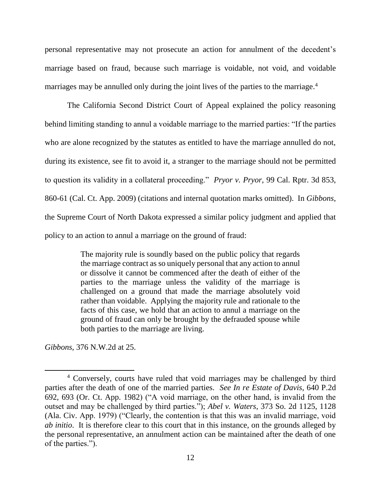personal representative may not prosecute an action for annulment of the decedent's marriage based on fraud, because such marriage is voidable, not void, and voidable marriages may be annulled only during the joint lives of the parties to the marriage.<sup>4</sup>

The California Second District Court of Appeal explained the policy reasoning behind limiting standing to annul a voidable marriage to the married parties: "If the parties who are alone recognized by the statutes as entitled to have the marriage annulled do not, during its existence, see fit to avoid it, a stranger to the marriage should not be permitted to question its validity in a collateral proceeding." *Pryor v. Pryor*, 99 Cal. Rptr. 3d 853, 860-61 (Cal. Ct. App. 2009) (citations and internal quotation marks omitted). In *Gibbons*, the Supreme Court of North Dakota expressed a similar policy judgment and applied that policy to an action to annul a marriage on the ground of fraud:

> The majority rule is soundly based on the public policy that regards the marriage contract as so uniquely personal that any action to annul or dissolve it cannot be commenced after the death of either of the parties to the marriage unless the validity of the marriage is challenged on a ground that made the marriage absolutely void rather than voidable. Applying the majority rule and rationale to the facts of this case, we hold that an action to annul a marriage on the ground of fraud can only be brought by the defrauded spouse while both parties to the marriage are living.

*Gibbons*, 376 N.W.2d at 25.

 $\overline{\phantom{a}}$ <sup>4</sup> Conversely, courts have ruled that void marriages may be challenged by third parties after the death of one of the married parties. *See In re Estate of Davis*, 640 P.2d 692, 693 (Or. Ct. App. 1982) ("A void marriage, on the other hand, is invalid from the outset and may be challenged by third parties."); *Abel v. Waters*, 373 So. 2d 1125, 1128 (Ala. Civ. App. 1979) ("Clearly, the contention is that this was an invalid marriage, void *ab initio*. It is therefore clear to this court that in this instance, on the grounds alleged by the personal representative, an annulment action can be maintained after the death of one of the parties.").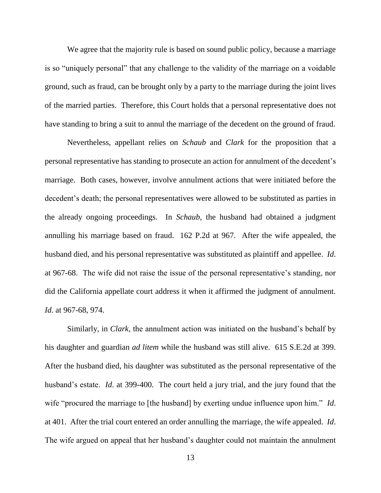We agree that the majority rule is based on sound public policy, because a marriage is so "uniquely personal" that any challenge to the validity of the marriage on a voidable ground, such as fraud, can be brought only by a party to the marriage during the joint lives of the married parties. Therefore, this Court holds that a personal representative does not have standing to bring a suit to annul the marriage of the decedent on the ground of fraud.

Nevertheless, appellant relies on *Schaub* and *Clark* for the proposition that a personal representative has standing to prosecute an action for annulment of the decedent's marriage. Both cases, however, involve annulment actions that were initiated before the decedent's death; the personal representatives were allowed to be substituted as parties in the already ongoing proceedings. In *Schaub*, the husband had obtained a judgment annulling his marriage based on fraud. 162 P.2d at 967. After the wife appealed, the husband died, and his personal representative was substituted as plaintiff and appellee. *Id*. at 967-68. The wife did not raise the issue of the personal representative's standing, nor did the California appellate court address it when it affirmed the judgment of annulment. *Id*. at 967-68, 974.

Similarly, in *Clark*, the annulment action was initiated on the husband's behalf by his daughter and guardian *ad litem* while the husband was still alive. 615 S.E.2d at 399. After the husband died, his daughter was substituted as the personal representative of the husband's estate. *Id*. at 399-400. The court held a jury trial, and the jury found that the wife "procured the marriage to [the husband] by exerting undue influence upon him." *Id*. at 401. After the trial court entered an order annulling the marriage, the wife appealed. *Id*. The wife argued on appeal that her husband's daughter could not maintain the annulment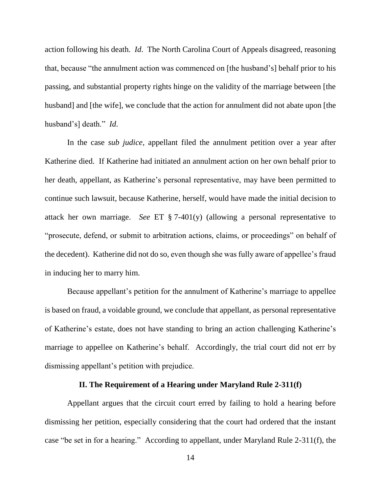action following his death. *Id*. The North Carolina Court of Appeals disagreed, reasoning that, because "the annulment action was commenced on [the husband's] behalf prior to his passing, and substantial property rights hinge on the validity of the marriage between [the husband] and [the wife], we conclude that the action for annulment did not abate upon [the husband's] death." *Id*.

In the case *sub judice*, appellant filed the annulment petition over a year after Katherine died. If Katherine had initiated an annulment action on her own behalf prior to her death, appellant, as Katherine's personal representative, may have been permitted to continue such lawsuit, because Katherine, herself, would have made the initial decision to attack her own marriage. *See* ET § 7-401(y) (allowing a personal representative to "prosecute, defend, or submit to arbitration actions, claims, or proceedings" on behalf of the decedent). Katherine did not do so, even though she was fully aware of appellee's fraud in inducing her to marry him.

Because appellant's petition for the annulment of Katherine's marriage to appellee is based on fraud, a voidable ground, we conclude that appellant, as personal representative of Katherine's estate, does not have standing to bring an action challenging Katherine's marriage to appellee on Katherine's behalf. Accordingly, the trial court did not err by dismissing appellant's petition with prejudice.

## **II. The Requirement of a Hearing under Maryland Rule 2-311(f)**

Appellant argues that the circuit court erred by failing to hold a hearing before dismissing her petition, especially considering that the court had ordered that the instant case "be set in for a hearing." According to appellant, under Maryland Rule 2-311(f), the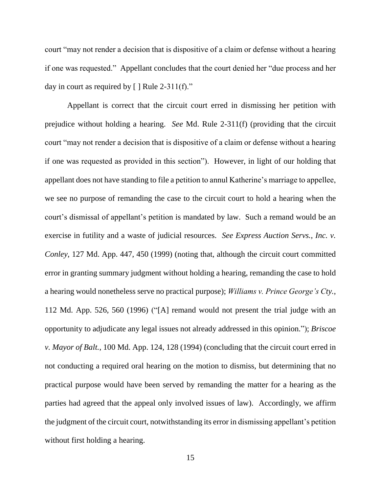court "may not render a decision that is dispositive of a claim or defense without a hearing if one was requested." Appellant concludes that the court denied her "due process and her day in court as required by  $[ ]$  Rule 2-311(f)."

Appellant is correct that the circuit court erred in dismissing her petition with prejudice without holding a hearing. *See* Md. Rule 2-311(f) (providing that the circuit court "may not render a decision that is dispositive of a claim or defense without a hearing if one was requested as provided in this section").However, in light of our holding that appellant does not have standing to file a petition to annul Katherine's marriage to appellee, we see no purpose of remanding the case to the circuit court to hold a hearing when the court's dismissal of appellant's petition is mandated by law. Such a remand would be an exercise in futility and a waste of judicial resources. *See Express Auction Servs., Inc. v. Conley*, 127 Md. App. 447, 450 (1999) (noting that, although the circuit court committed error in granting summary judgment without holding a hearing, remanding the case to hold a hearing would nonetheless serve no practical purpose); *Williams v. Prince George's Cty.*, 112 Md. App. 526, 560 (1996) ("[A] remand would not present the trial judge with an opportunity to adjudicate any legal issues not already addressed in this opinion."); *Briscoe v. Mayor of Balt.*, 100 Md. App. 124, 128 (1994) (concluding that the circuit court erred in not conducting a required oral hearing on the motion to dismiss, but determining that no practical purpose would have been served by remanding the matter for a hearing as the parties had agreed that the appeal only involved issues of law). Accordingly, we affirm the judgment of the circuit court, notwithstanding its error in dismissing appellant's petition without first holding a hearing.